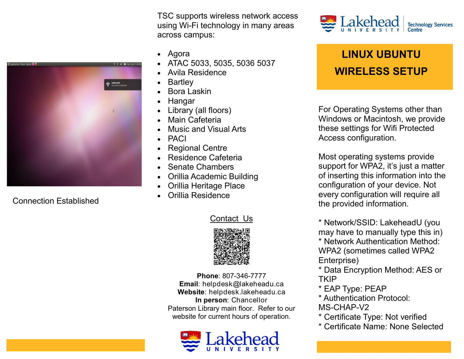TSC supports wireless network access using Wi-Fi technology in many areas across campus:

- Agora
- ATAC 5033, 5035, 5036 5037
- Avila Residence
- **Bartley**
- Bora Laskin
- Hangar
- Library (all floors)
- Main Cafeteria
- Music and Visual Arts
- PACI
- Regional Centre
- Residence Cafeteria
- Senate Chambers
- Orillia Academic Building
- Orillia Heritage Place
- Orillia Residence

#### Contact Us



**Phone**: 807-346-7777 **Email**: helpdesk@lakeheadu.ca **Website**: helpdesk.lakeheadu.ca **In person**: Chancellor Paterson Library main floor. Refer to our website for current hours of operation.





# **LINUX UBUNTU WIRELESS SETUP**

For Operating Systems other than Windows or Macintosh, we provide these settings for Wifi Protected Access configuration.

Most operating systems provide support for WPA2, it's just a matter of inserting this information into the configuration of your device. Not every configuration will require all the provided information.

\* Network/SSID: LakeheadU (you may have to manually type this in)

\* Network Authentication Method: WPA2 (sometimes called WPA2 Enterprise)

\* Data Encryption Method: AES or **TKIP** 

- \* EAP Type: PEAP
- \* Authentication Protocol: MS-CHAP-V2
- \* Certificate Type: Not verified
- \* Certificate Name: None Selected



Connection Established